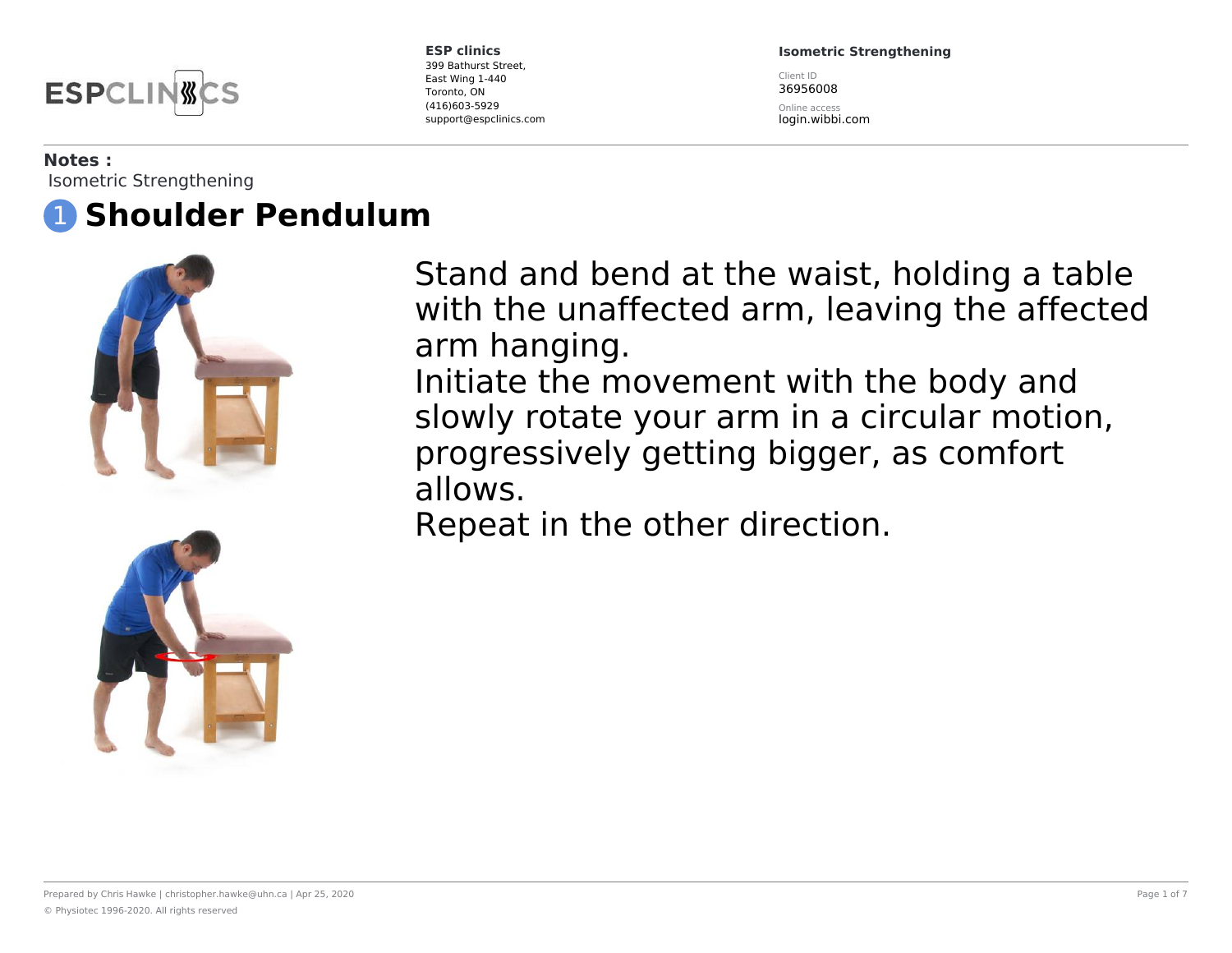

**Isometric Strengthening**

Client ID 36956008

Online access login.wibbi.com

#### **Notes :**

Isometric Strengthening

# 1 **Shoulder Pendulum**





Stand and bend at the waist, holding a table with the unaffected arm, leaving the affected arm hanging. Initiate the movement with the body and

slowly rotate your arm in a circular motion, progressively getting bigger, as comfort allows.

Repeat in the other direction.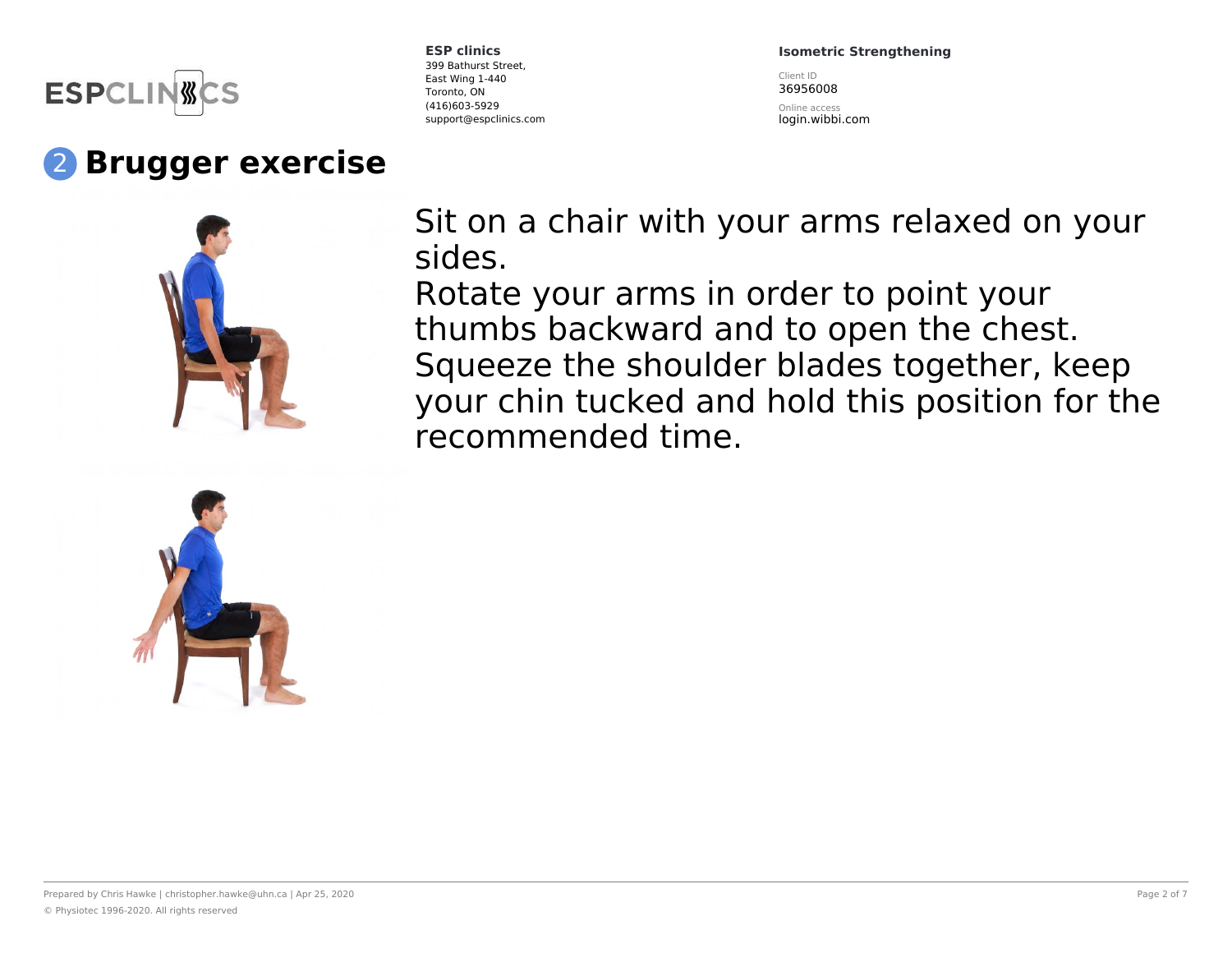

# 2 **Brugger exercise**





**ESP clinics** 399 Bathurst Street, East Wing 1-440 Toronto, ON (416)603-5929 support@espclinics.com **Isometric Strengthening**

Client ID 36956008

Online access login.wibbi.com

Sit on a chair with your arms relaxed on your sides.

Rotate your arms in order to point your thumbs backward and to open the chest. Squeeze the shoulder blades together, keep your chin tucked and hold this position for the recommended time.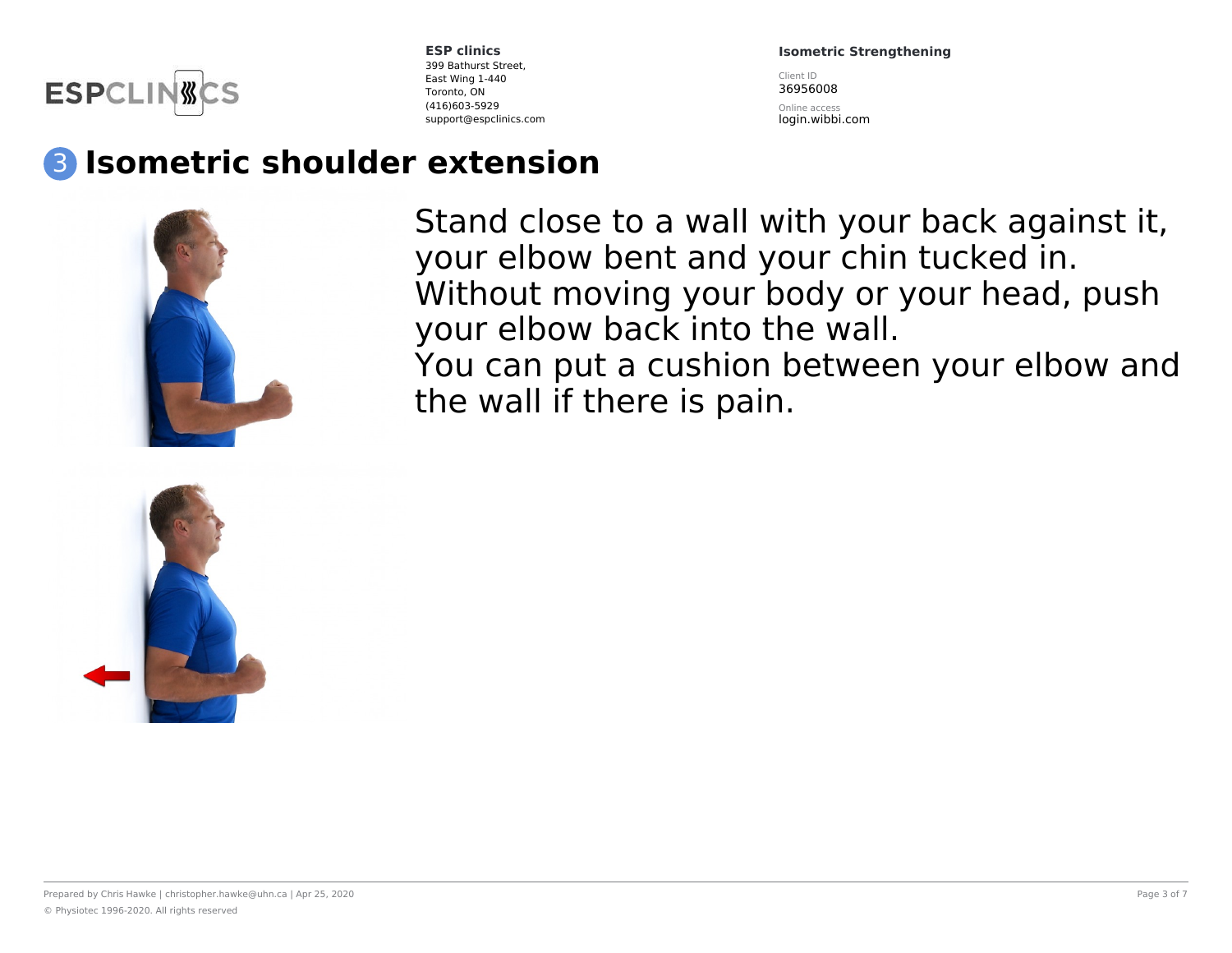

**Isometric Strengthening**

Client ID 36956008

Online access login.wibbi.com

### 3 **Isometric shoulder extension**



Stand close to a wall with your back against it, your elbow bent and your chin tucked in. Without moving your body or your head, push your elbow back into the wall. You can put a cushion between your elbow and the wall if there is pain.

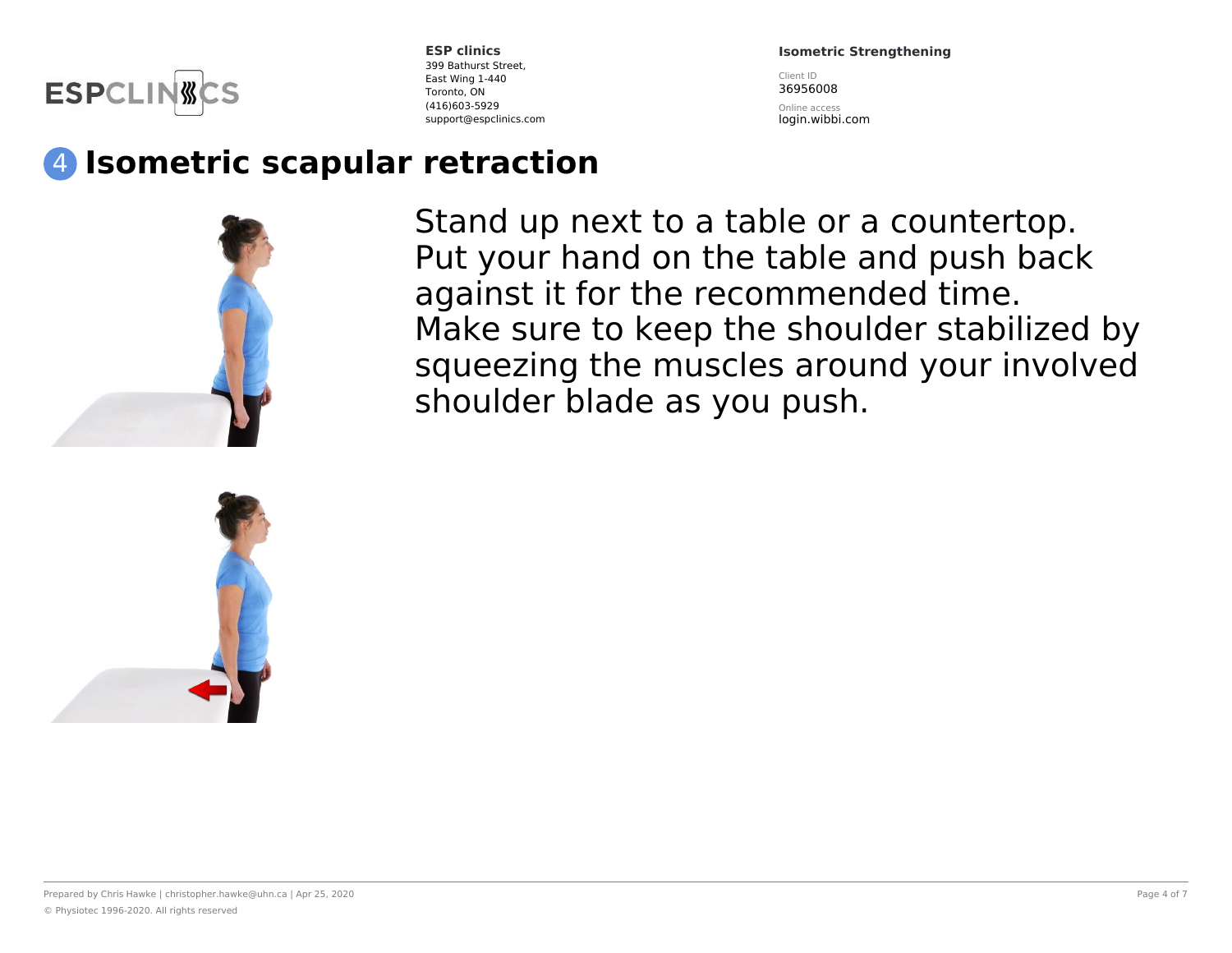

**Isometric Strengthening**

Client ID 36956008

Online access login.wibbi.com

## 4 **Isometric scapular retraction**



Stand up next to a table or a countertop. Put your hand on the table and push back against it for the recommended time. Make sure to keep the shoulder stabilized by squeezing the muscles around your involved shoulder blade as you push.

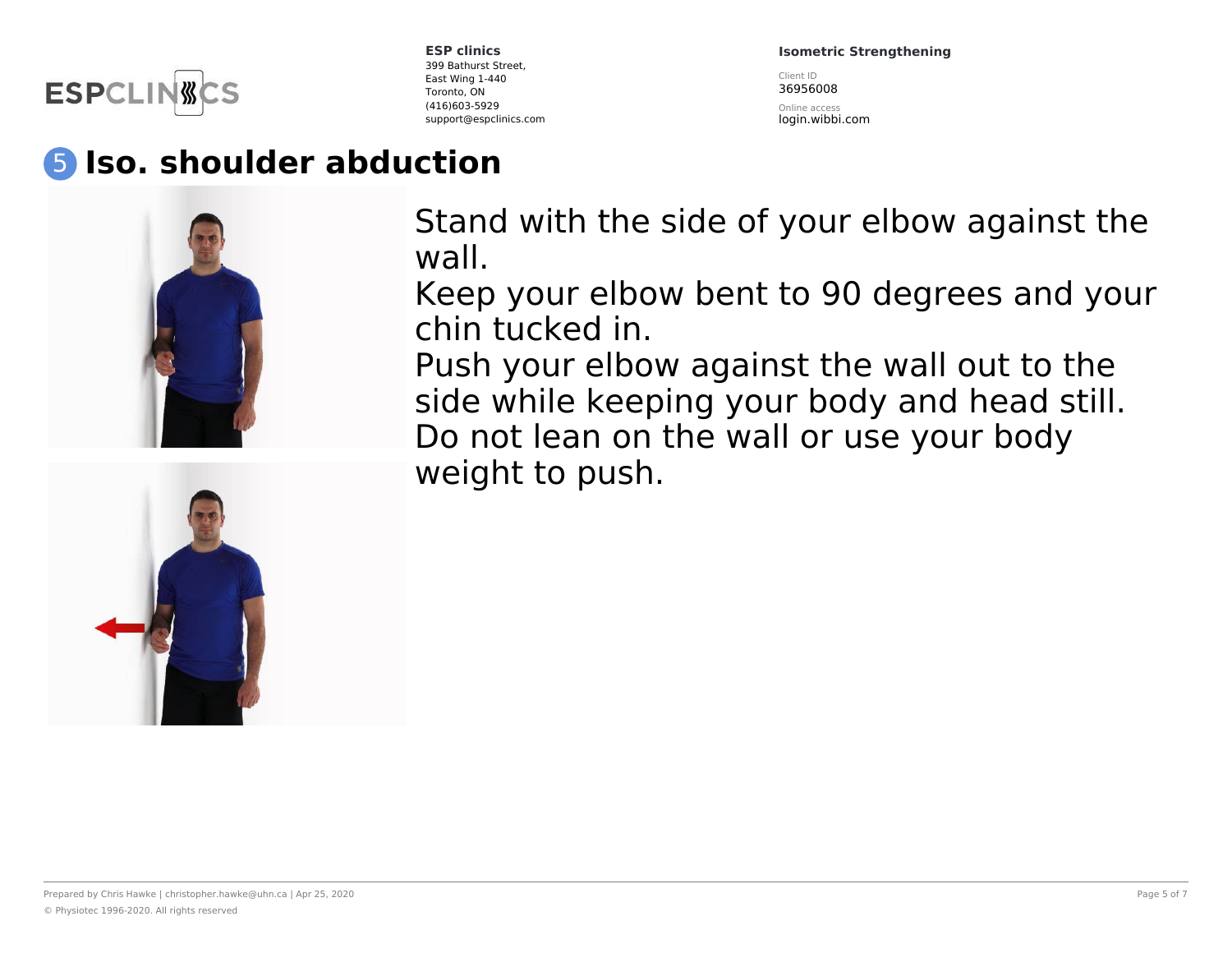

**Isometric Strengthening**

Client ID 36956008

Online access login.wibbi.com

### 5 **Iso. shoulder abduction**





Stand with the side of your elbow against the wall.

Keep your elbow bent to 90 degrees and your chin tucked in.

Push your elbow against the wall out to the side while keeping your body and head still. Do not lean on the wall or use your body weight to push.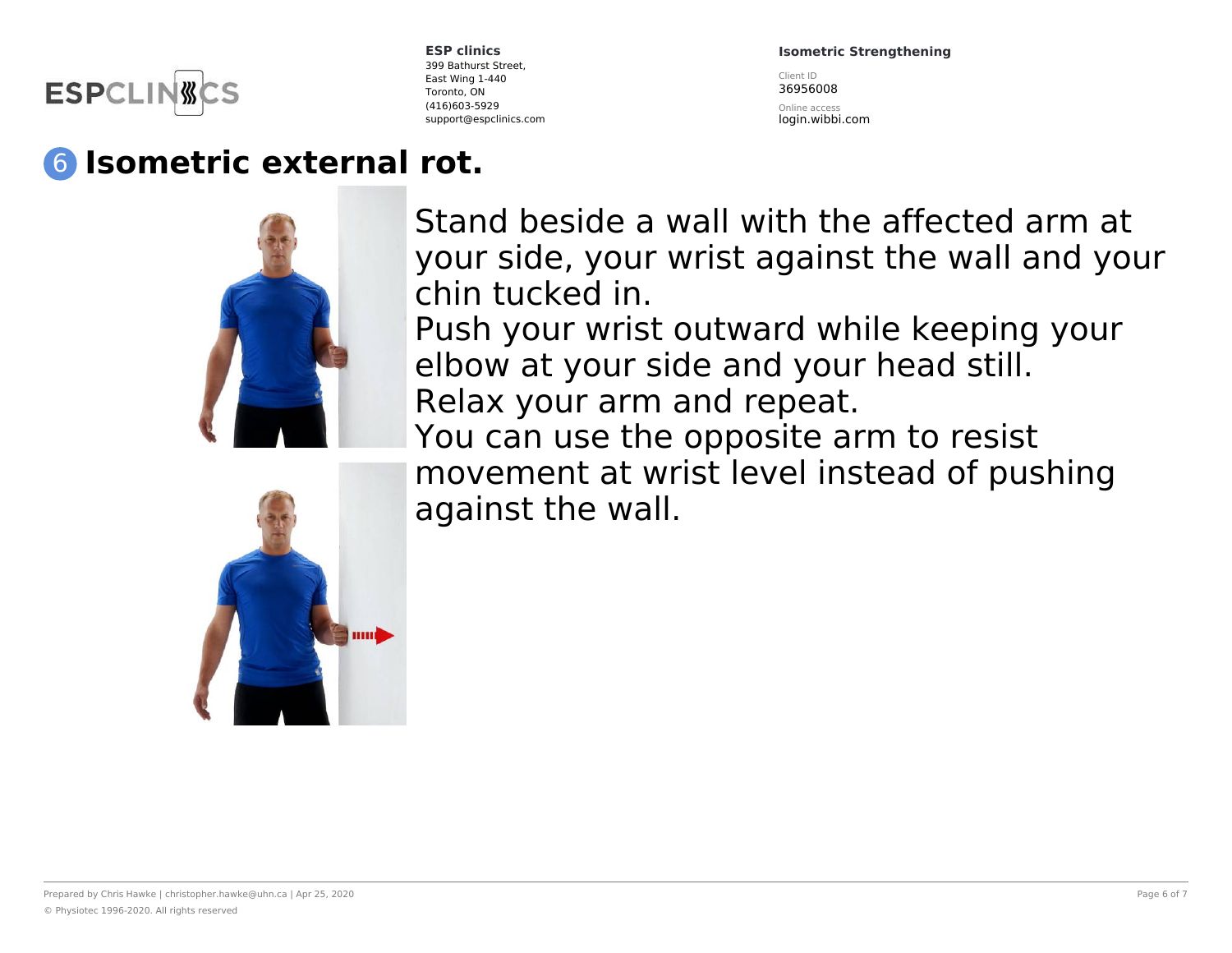

**Isometric Strengthening**

Client ID 36956008

Online access login.wibbi.com

# 6 **Isometric external rot.**



Stand beside a wall with the affected arm at your side, your wrist against the wall and your chin tucked in.

Push your wrist outward while keeping your elbow at your side and your head still. Relax your arm and repeat.

You can use the opposite arm to resist movement at wrist level instead of pushing against the wall.